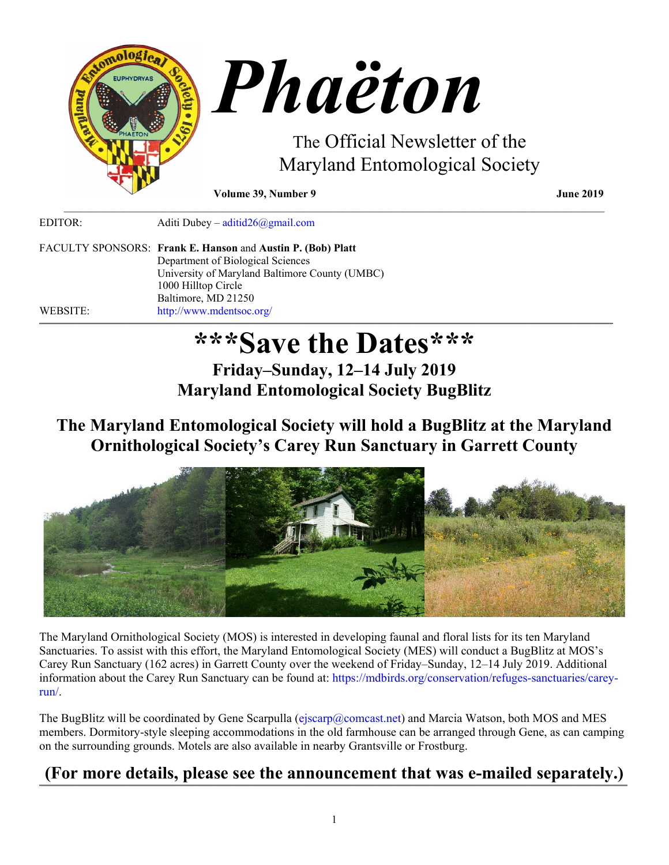

EDITOR: Aditi Dubey – [aditid26@gmail.com](mailto:aditid26@gmail.com)

FACULTY SPONSORS: **Frank E. Hanson** and **Austin P. (Bob) Platt** Department of Biological Sciences University of Maryland Baltimore County (UMBC) 1000 Hilltop Circle Baltimore, MD 21250 WEBSITE: <http://www.mdentsoc.org/> ,我们就会在这里,我们的人们就会在这里,我们就会在这里,我们就会在这里,我们就会在这里,我们就会在这里,我们就会在这里,我们就会在这里,我们就会在这里,我们就会

# **\*\*\*Save the Dates\*\*\***

\_\_\_\_\_\_\_\_\_\_\_\_\_\_\_\_\_\_\_\_\_\_\_\_\_\_\_\_\_\_\_\_\_\_\_\_\_\_\_\_\_\_\_\_\_\_\_\_\_\_\_\_\_\_\_\_\_\_\_\_\_\_\_\_\_\_\_\_\_\_\_\_\_\_\_\_\_\_\_\_\_\_\_\_\_\_\_\_\_\_\_\_\_\_\_\_\_\_\_

**Friday–Sunday, 12–14 July 2019 Maryland Entomological Society BugBlitz**

# **The Maryland Entomological Society will hold a BugBlitz at the Maryland Ornithological Society's Carey Run Sanctuary in Garrett County**



The Maryland Ornithological Society (MOS) is interested in developing faunal and floral lists for its ten Maryland Sanctuaries. To assist with this effort, the Maryland Entomological Society (MES) will conduct a BugBlitz at MOS's Carey Run Sanctuary (162 acres) in Garrett County over the weekend of Friday–Sunday, 12–14 July 2019. Additional information about the Carey Run Sanctuary can be found at: [https://mdbirds.org/conservation/refuges-sanctuaries/carey](https://mdbirds.org/conservation/refuges-sanctuaries/carey-run/)[run/.](https://mdbirds.org/conservation/refuges-sanctuaries/carey-run/)

The BugBlitz will be coordinated by Gene Scarpulla [\(ejscarp@comcast.net\)](mailto:ejscarp@comcast.net) and Marcia Watson, both MOS and MES members. Dormitory-style sleeping accommodations in the old farmhouse can be arranged through Gene, as can camping on the surrounding grounds. Motels are also available in nearby Grantsville or Frostburg.

#### **(For more details, please see the announcement that was e-mailed separately.)** ,我们就会在这里,我们的人们就会在这里,我们就会在这里,我们就会在这里,我们就会在这里,我们就会在这里,我们就会在这里,我们就会在这里,我们就会在这里,我们就会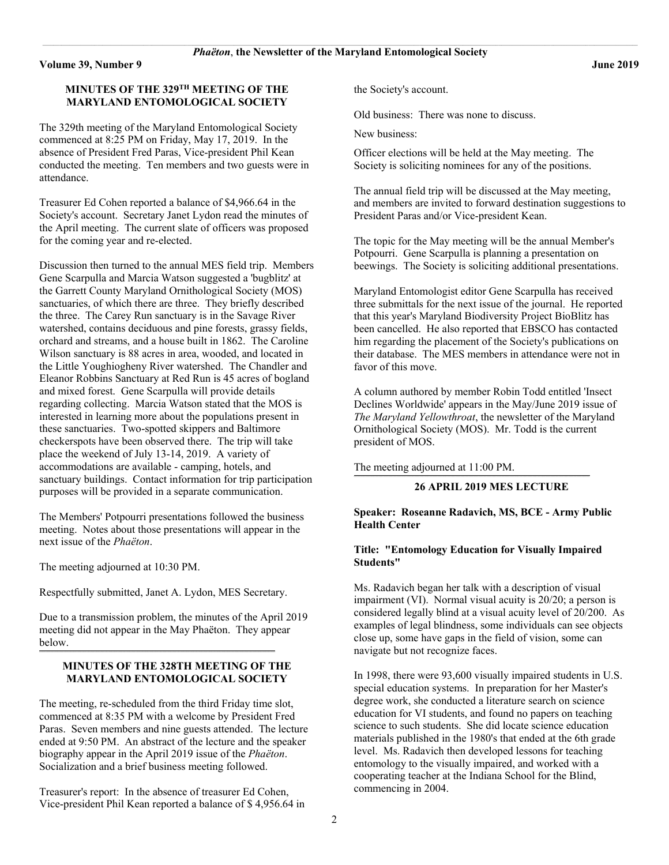#### **MINUTES OF THE 329TH MEETING OF THE MARYLAND ENTOMOLOGICAL SOCIETY**

The 329th meeting of the Maryland Entomological Society commenced at 8:25 PM on Friday, May 17, 2019. In the absence of President Fred Paras, Vice-president Phil Kean conducted the meeting. Ten members and two guests were in attendance.

Treasurer Ed Cohen reported a balance of \$4,966.64 in the Society's account. Secretary Janet Lydon read the minutes of the April meeting. The current slate of officers was proposed for the coming year and re-elected.

Discussion then turned to the annual MES field trip. Members Gene Scarpulla and Marcia Watson suggested a 'bugblitz' at the Garrett County Maryland Ornithological Society (MOS) sanctuaries, of which there are three. They briefly described the three. The Carey Run sanctuary is in the Savage River watershed, contains deciduous and pine forests, grassy fields, orchard and streams, and a house built in 1862. The Caroline Wilson sanctuary is 88 acres in area, wooded, and located in the Little Youghiogheny River watershed. The Chandler and Eleanor Robbins Sanctuary at Red Run is 45 acres of bogland and mixed forest. Gene Scarpulla will provide details regarding collecting. Marcia Watson stated that the MOS is interested in learning more about the populations present in these sanctuaries. Two-spotted skippers and Baltimore checkerspots have been observed there. The trip will take place the weekend of July 13-14, 2019. A variety of accommodations are available - camping, hotels, and sanctuary buildings. Contact information for trip participation purposes will be provided in a separate communication.

The Members' Potpourri presentations followed the business meeting. Notes about those presentations will appear in the next issue of the *Phaëton*.

The meeting adjourned at 10:30 PM.

Respectfully submitted, Janet A. Lydon, MES Secretary.

**\_\_\_\_\_\_\_\_\_\_\_\_\_\_\_\_\_\_\_\_\_\_\_\_\_\_\_\_\_\_\_\_\_\_\_\_\_\_\_\_\_\_\_\_\_\_\_\_\_\_\_\_\_\_\_\_\_\_\_\_\_\_\_\_\_\_\_\_\_\_\_\_\_\_\_\_\_\_\_\_\_\_\_\_\_\_\_\_\_\_\_\_\_\_\_\_\_\_\_\_\_\_\_\_\_\_\_\_\_\_\_\_\_\_\_\_\_\_\_\_\_\_\_\_\_\_\_\_\_\_\_\_\_\_\_\_\_\_\_\_\_\_\_\_**

Due to a transmission problem, the minutes of the April 2019 meeting did not appear in the May Phaëton. They appear below.

#### **MINUTES OF THE 328TH MEETING OF THE MARYLAND ENTOMOLOGICAL SOCIETY**

The meeting, re-scheduled from the third Friday time slot, commenced at 8:35 PM with a welcome by President Fred Paras. Seven members and nine guests attended. The lecture ended at 9:50 PM. An abstract of the lecture and the speaker biography appear in the April 2019 issue of the *Phaëton*. Socialization and a brief business meeting followed.

Treasurer's report: In the absence of treasurer Ed Cohen, Vice-president Phil Kean reported a balance of \$ 4,956.64 in the Society's account.

Old business: There was none to discuss.

New business:

Officer elections will be held at the May meeting. The Society is soliciting nominees for any of the positions.

The annual field trip will be discussed at the May meeting, and members are invited to forward destination suggestions to President Paras and/or Vice-president Kean.

The topic for the May meeting will be the annual Member's Potpourri. Gene Scarpulla is planning a presentation on beewings. The Society is soliciting additional presentations.

Maryland Entomologist editor Gene Scarpulla has received three submittals for the next issue of the journal. He reported that this year's Maryland Biodiversity Project BioBlitz has been cancelled. He also reported that EBSCO has contacted him regarding the placement of the Society's publications on their database. The MES members in attendance were not in favor of this move.

A column authored by member Robin Todd entitled 'Insect Declines Worldwide' appears in the May/June 2019 issue of *The Maryland Yellowthroat*, the newsletter of the Maryland Ornithological Society (MOS). Mr. Todd is the current president of MOS.

The meeting adjourned at 11:00 PM.

#### **26 APRIL 2019 MES LECTURE**

#### **Speaker: Roseanne Radavich, MS, BCE - Army Public Health Center**

**\_\_\_\_\_\_\_\_\_\_\_\_\_\_\_\_\_\_\_\_\_\_\_\_\_\_\_\_\_\_\_\_\_\_\_\_\_\_\_\_\_\_\_\_\_\_\_\_\_\_\_\_\_\_\_\_\_\_\_\_\_\_\_\_\_\_\_\_\_\_\_\_\_\_\_\_\_\_\_\_\_\_\_\_\_\_\_\_\_\_\_\_\_\_\_\_\_\_\_\_\_\_\_\_\_\_\_\_\_\_\_\_\_\_\_\_\_\_\_\_\_\_\_\_\_\_\_\_\_\_\_\_\_\_\_\_\_\_\_\_\_\_\_\_**

#### **Title: "Entomology Education for Visually Impaired Students"**

Ms. Radavich began her talk with a description of visual impairment (VI). Normal visual acuity is 20/20; a person is considered legally blind at a visual acuity level of 20/200. As examples of legal blindness, some individuals can see objects close up, some have gaps in the field of vision, some can navigate but not recognize faces.

In 1998, there were 93,600 visually impaired students in U.S. special education systems. In preparation for her Master's degree work, she conducted a literature search on science education for VI students, and found no papers on teaching science to such students. She did locate science education materials published in the 1980's that ended at the 6th grade level.Ms. Radavich then developed lessons for teaching entomology to the visually impaired, and worked with a cooperating teacher at the Indiana School for the Blind, commencing in 2004.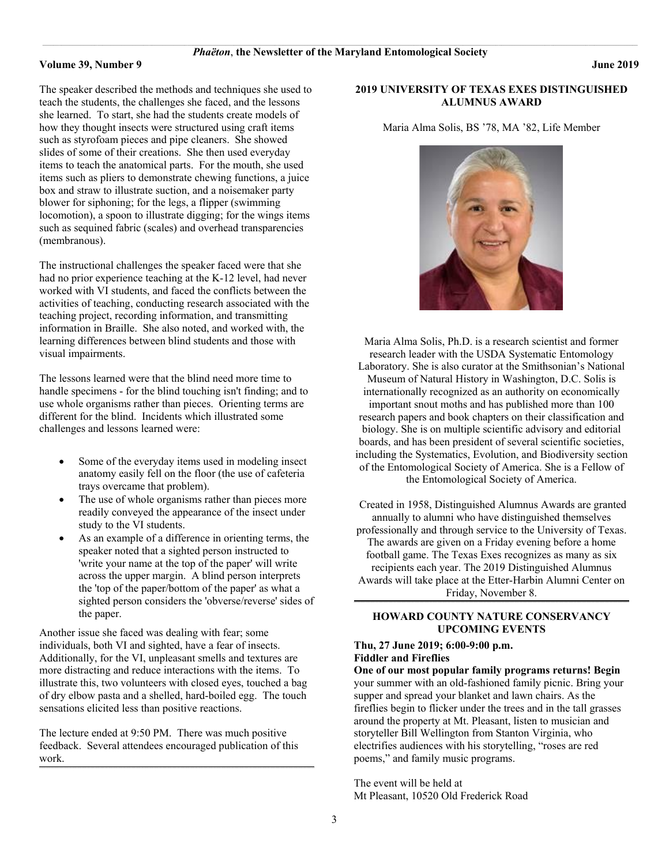The speaker described the methods and techniques she used to teach the students, the challenges she faced, and the lessons she learned. To start, she had the students create models of how they thought insects were structured using craft items such as styrofoam pieces and pipe cleaners. She showed slides of some of their creations. She then used everyday items to teach the anatomical parts. For the mouth, she used items such as pliers to demonstrate chewing functions, a juice box and straw to illustrate suction, and a noisemaker party blower for siphoning; for the legs, a flipper (swimming locomotion), a spoon to illustrate digging; for the wings items such as sequined fabric (scales) and overhead transparencies (membranous).

The instructional challenges the speaker faced were that she had no prior experience teaching at the K-12 level, had never worked with VI students, and faced the conflicts between the activities of teaching, conducting research associated with the teaching project, recording information, and transmitting information in Braille. She also noted, and worked with, the learning differences between blind students and those with visual impairments.

The lessons learned were that the blind need more time to handle specimens - for the blind touching isn't finding; and to use whole organisms rather than pieces. Orienting terms are different for the blind. Incidents which illustrated some challenges and lessons learned were:

- Some of the everyday items used in modeling insect anatomy easily fell on the floor (the use of cafeteria trays overcame that problem).
- The use of whole organisms rather than pieces more readily conveyed the appearance of the insect under study to the VI students.
- As an example of a difference in orienting terms, the speaker noted that a sighted person instructed to 'write your name at the top of the paper' will write across the upper margin. A blind person interprets the 'top of the paper/bottom of the paper' as what a sighted person considers the 'obverse/reverse' sides of the paper.

Another issue she faced was dealing with fear; some individuals, both VI and sighted, have a fear of insects. Additionally, for the VI, unpleasant smells and textures are more distracting and reduce interactions with the items. To illustrate this, two volunteers with closed eyes, touched a bag of dry elbow pasta and a shelled, hard-boiled egg. The touch sensations elicited less than positive reactions.

The lecture ended at 9:50 PM. There was much positive feedback. Several attendees encouraged publication of this work.

 $\mathcal{L} = \{ \mathcal{L} = \{ \mathcal{L} = \{ \mathcal{L} = \{ \mathcal{L} = \{ \mathcal{L} = \{ \mathcal{L} = \{ \mathcal{L} = \{ \mathcal{L} = \{ \mathcal{L} = \{ \mathcal{L} = \{ \mathcal{L} = \{ \mathcal{L} = \{ \mathcal{L} = \{ \mathcal{L} = \{ \mathcal{L} = \{ \mathcal{L} = \{ \mathcal{L} = \{ \mathcal{L} = \{ \mathcal{L} = \{ \mathcal{L} = \{ \mathcal{L} = \{ \mathcal{L} = \{ \mathcal{L} = \{ \mathcal{$ 

#### **2019 UNIVERSITY OF TEXAS EXES DISTINGUISHED ALUMNUS AWARD**

Maria Alma Solis, BS '78, MA '82, Life Member



Maria Alma Solis, Ph.D. is a research scientist and former research leader with the USDA Systematic Entomology Laboratory. She is also curator at the Smithsonian's National Museum of Natural History in Washington, D.C. Solis is internationally recognized as an authority on economically important snout moths and has published more than 100 research papers and book chapters on their classification and biology. She is on multiple scientific advisory and editorial boards, and has been president of several scientific societies, including the Systematics, Evolution, and Biodiversity section of the Entomological Society of America. She is a Fellow of the Entomological Society of America.

Created in 1958, Distinguished Alumnus Awards are granted annually to alumni who have distinguished themselves professionally and through service to the University of Texas. The awards are given on a Friday evening before a home football game. The Texas Exes recognizes as many as six recipients each year. The 2019 Distinguished Alumnus Awards will take place at the Etter-Harbin Alumni Center on Friday, November 8.

#### **HOWARD COUNTY NATURE CONSERVANCY UPCOMING EVENTS**

**\_\_\_\_\_\_\_\_\_\_\_\_\_\_\_\_\_\_\_\_\_\_\_\_\_\_\_\_\_\_\_\_\_\_\_\_\_\_\_\_\_\_\_\_\_\_\_\_\_\_\_\_\_\_\_\_\_\_\_\_\_\_\_\_\_\_\_\_\_\_\_\_\_\_\_\_\_\_\_\_\_\_\_\_\_\_\_\_\_\_\_\_\_\_\_\_\_\_\_\_\_\_\_\_\_\_\_\_\_\_\_\_\_\_\_\_\_\_\_\_\_\_\_\_\_\_\_\_\_\_\_\_\_\_\_\_\_\_\_\_\_\_\_\_\_\_\_\_\_\_\_\_\_\_\_\_\_\_\_\_\_\_\_\_\_\_\_\_**

#### **Thu, 27 June 2019; 6:00-9:00 p.m. Fiddler and Fireflies**

**One of our most popular family programs returns! Begin**  your summer with an old-fashioned family picnic. Bring your supper and spread your blanket and lawn chairs. As the fireflies begin to flicker under the trees and in the tall grasses around the property at Mt. Pleasant, listen to musician and storyteller Bill Wellington from Stanton Virginia, who electrifies audiences with his storytelling, "roses are red poems," and family music programs.

The event will be held at Mt Pleasant, 10520 Old Frederick Road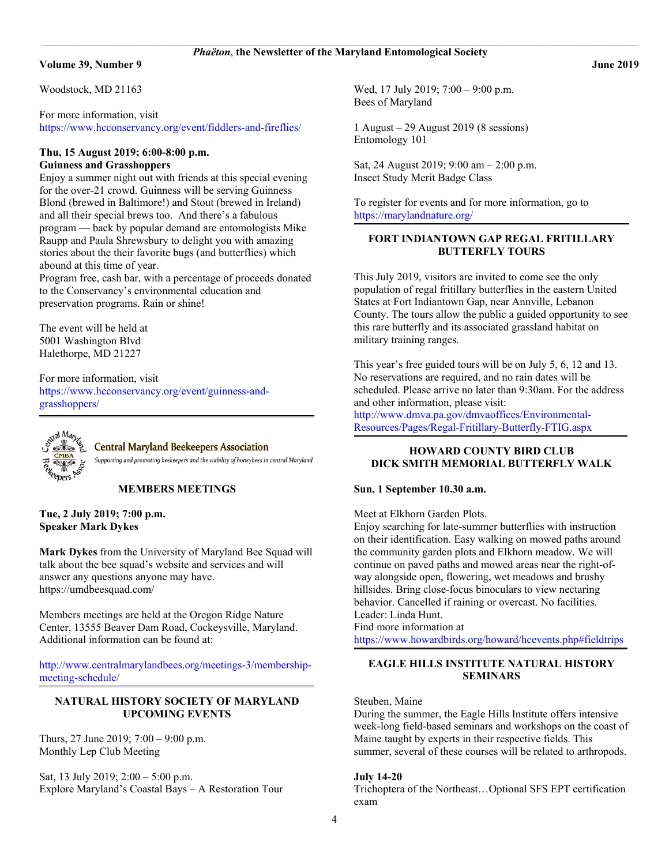Woodstock, MD 21163

For more information, visit <https://www.hcconservancy.org/event/fiddlers-and-fireflies/>

#### **Thu, 15 August 2019; 6:00-8:00 p.m. Guinness and Grasshoppers**

Enjoy a summer night out with friends at this special evening for the over-21 crowd. Guinness will be serving Guinness Blond (brewed in Baltimore!) and Stout (brewed in Ireland) and all their special brews too. And there's a fabulous program — back by popular demand are entomologists Mike Raupp and Paula Shrewsbury to delight you with amazing stories about the their favorite bugs (and butterflies) which abound at this time of year.

Program free, cash bar, with a percentage of proceeds donated to the Conservancy's environmental education and preservation programs. Rain or shine!

The event will be held at 5001 Washington Blvd Halethorpe, MD 21227

For more information, visit [https://www.hcconservancy.org/event/guinness-and](https://www.hcconservancy.org/event/guinness-and-grasshoppers/)[grasshoppers/](https://www.hcconservancy.org/event/guinness-and-grasshoppers/)



**Central Maryland Beekeepers Association** 

Supporting and promoting beekeepers and the viability of honeybees in central Maryland

#### **MEMBERS MEETINGS**

**\_\_\_\_\_\_\_\_\_\_\_\_\_\_\_\_\_\_\_\_\_\_\_\_\_\_\_\_\_\_\_\_\_\_\_\_\_\_\_\_\_\_\_\_\_\_\_\_\_\_\_\_\_\_\_\_\_\_\_\_\_\_\_\_\_\_\_\_\_\_\_\_\_\_\_\_\_\_\_\_\_\_\_\_\_\_\_\_\_\_\_\_\_\_\_\_\_\_\_\_\_\_\_\_\_\_\_\_\_\_\_\_\_\_\_\_\_\_\_\_\_\_\_\_\_\_\_\_\_\_\_\_\_\_\_\_\_\_\_\_\_\_\_\_\_\_\_\_\_\_\_\_\_\_\_\_\_\_\_\_\_\_\_\_\_\_\_\_**

**Tue, 2 July 2019; 7:00 p.m. Speaker Mark Dykes**

**Mark Dykes** from the University of Maryland Bee Squad will talk about the bee squad's website and services and will answer any questions anyone may have. https://umdbeesquad.com/

Members meetings are held at the Oregon Ridge Nature Center, 13555 Beaver Dam Road, Cockeysville, Maryland. Additional information can be found at:

[http://www.centralmarylandbees.org/meetings-3/membership](http://www.centralmarylandbees.org/meetings-3/membership-meeting-schedule/)[meeting-schedule/](http://www.centralmarylandbees.org/meetings-3/membership-meeting-schedule/) **\_\_\_\_\_\_\_\_\_\_\_\_\_\_\_\_\_\_\_\_\_\_\_\_\_\_\_\_\_\_\_\_\_\_\_\_\_\_\_\_\_\_\_\_\_\_\_\_\_\_\_\_\_\_\_\_\_\_\_\_\_\_\_\_\_\_\_\_\_\_\_\_\_\_\_\_\_\_\_\_\_\_\_\_\_\_\_\_\_\_\_\_\_\_\_\_\_\_\_\_\_\_\_\_\_\_\_\_\_\_\_\_\_\_\_\_\_\_\_\_\_\_\_\_\_\_\_\_\_\_\_\_\_\_\_\_\_\_\_\_\_\_\_\_\_\_\_\_\_\_\_\_\_\_\_\_\_\_\_\_\_\_\_\_\_\_\_\_**

#### **NATURAL HISTORY SOCIETY OF MARYLAND UPCOMING EVENTS**

Thurs, 27 June 2019; 7:00 – 9:00 p.m. Monthly Lep Club Meeting

Sat, 13 July 2019; 2:00 – 5:00 p.m. Explore Maryland's Coastal Bays – A Restoration Tour Wed, 17 July 2019; 7:00 – 9:00 p.m. Bees of Maryland

1 August – 29 August 2019 (8 sessions) Entomology 101

Sat, 24 August 2019; 9:00 am – 2:00 p.m. Insect Study Merit Badge Class

To register for events and for more information, go to <https://marylandnature.org/>

#### **FORT INDIANTOWN GAP REGAL FRITILLARY BUTTERFLY TOURS**

 $\mathcal{L} = \{ \mathcal{L} = \{ \mathcal{L} = \{ \mathcal{L} = \{ \mathcal{L} = \{ \mathcal{L} = \{ \mathcal{L} = \{ \mathcal{L} = \{ \mathcal{L} = \{ \mathcal{L} = \{ \mathcal{L} = \{ \mathcal{L} = \{ \mathcal{L} = \{ \mathcal{L} = \{ \mathcal{L} = \{ \mathcal{L} = \{ \mathcal{L} = \{ \mathcal{L} = \{ \mathcal{L} = \{ \mathcal{L} = \{ \mathcal{L} = \{ \mathcal{L} = \{ \mathcal{L} = \{ \mathcal{L} = \{ \mathcal{$ 

This July 2019, visitors are invited to come see the only population of regal fritillary butterflies in the eastern United States at Fort Indiantown Gap, near Annville, Lebanon County. The tours allow the public a guided opportunity to see this rare butterfly and its associated grassland habitat on military training ranges.

This year's free guided tours will be on July 5, 6, 12 and 13. No reservations are required, and no rain dates will be scheduled. Please arrive no later than 9:30am. For the address and other information, please visit:

[http://www.dmva.pa.gov/dmvaoffices/Environmental-](http://www.dmva.pa.gov/dmvaoffices/Environmental-Resources/Pages/Regal-Fritillary-Butterfly-FTIG.aspx)[Resources/Pages/Regal-Fritillary-Butterfly-FTIG.aspx](http://www.dmva.pa.gov/dmvaoffices/Environmental-Resources/Pages/Regal-Fritillary-Butterfly-FTIG.aspx)

#### **HOWARD COUNTY BIRD CLUB DICK SMITH MEMORIAL BUTTERFLY WALK**

 $\mathcal{L} = \{ \mathcal{L} = \{ \mathcal{L} = \{ \mathcal{L} = \{ \mathcal{L} = \{ \mathcal{L} = \{ \mathcal{L} = \{ \mathcal{L} = \{ \mathcal{L} = \{ \mathcal{L} = \{ \mathcal{L} = \{ \mathcal{L} = \{ \mathcal{L} = \{ \mathcal{L} = \{ \mathcal{L} = \{ \mathcal{L} = \{ \mathcal{L} = \{ \mathcal{L} = \{ \mathcal{L} = \{ \mathcal{L} = \{ \mathcal{L} = \{ \mathcal{L} = \{ \mathcal{L} = \{ \mathcal{L} = \{ \mathcal{$ 

#### **Sun, 1 September 10.30 a.m.**

Meet at Elkhorn Garden Plots.

Enjoy searching for late-summer butterflies with instruction on their identification. Easy walking on mowed paths around the community garden plots and Elkhorn meadow. We will continue on paved paths and mowed areas near the right-ofway alongside open, flowering, wet meadows and brushy hillsides. Bring close-focus binoculars to view nectaring behavior. Cancelled if raining or overcast. No facilities. Leader: Linda Hunt.

Find more information at

[https://www.howardbirds.org/howard/hcevents.php#fieldtrips](https://www.howardbirds.org/howard/hcevents.php%23fieldtrips)  $\mathcal{L} = \{ \mathcal{L} = \{ \mathcal{L} = \{ \mathcal{L} = \{ \mathcal{L} = \{ \mathcal{L} = \{ \mathcal{L} = \{ \mathcal{L} = \{ \mathcal{L} = \{ \mathcal{L} = \{ \mathcal{L} = \{ \mathcal{L} = \{ \mathcal{L} = \{ \mathcal{L} = \{ \mathcal{L} = \{ \mathcal{L} = \{ \mathcal{L} = \{ \mathcal{L} = \{ \mathcal{L} = \{ \mathcal{L} = \{ \mathcal{L} = \{ \mathcal{L} = \{ \mathcal{L} = \{ \mathcal{L} = \{ \mathcal{$ 

#### **EAGLE HILLS INSTITUTE NATURAL HISTORY SEMINARS**

Steuben, Maine

During the summer, the Eagle Hills Institute offers intensive week-long field-based seminars and workshops on the coast of Maine taught by experts in their respective fields. This summer, several of these courses will be related to arthropods.

#### **July 14-20**

Trichoptera of the Northeast…Optional SFS EPT certification exam